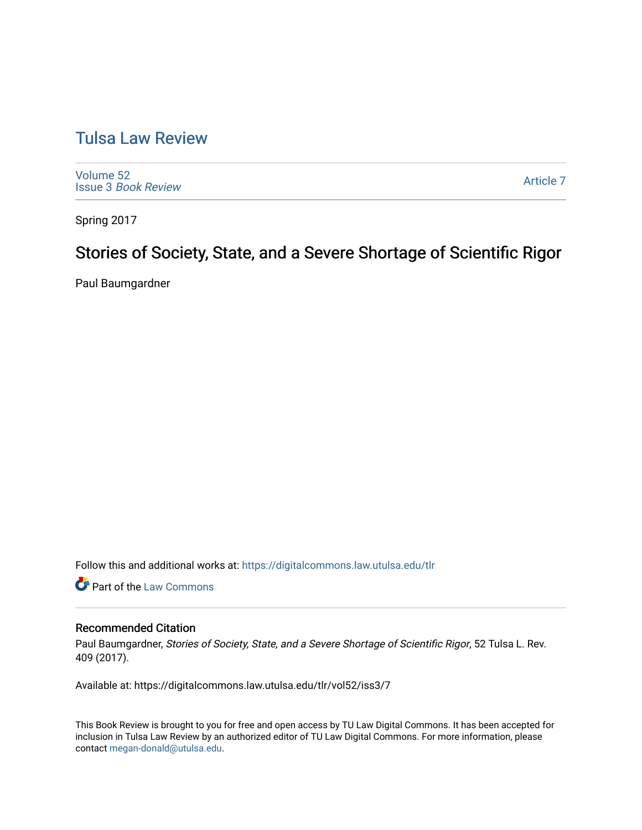# [Tulsa Law Review](https://digitalcommons.law.utulsa.edu/tlr)

[Volume 52](https://digitalcommons.law.utulsa.edu/tlr/vol52) Issue 3 [Book Review](https://digitalcommons.law.utulsa.edu/tlr/vol52/iss3)

[Article 7](https://digitalcommons.law.utulsa.edu/tlr/vol52/iss3/7) 

Spring 2017

# Stories of Society, State, and a Severe Shortage of Scientific Rigor

Paul Baumgardner

Follow this and additional works at: [https://digitalcommons.law.utulsa.edu/tlr](https://digitalcommons.law.utulsa.edu/tlr?utm_source=digitalcommons.law.utulsa.edu%2Ftlr%2Fvol52%2Fiss3%2F7&utm_medium=PDF&utm_campaign=PDFCoverPages) 

Part of the [Law Commons](http://network.bepress.com/hgg/discipline/578?utm_source=digitalcommons.law.utulsa.edu%2Ftlr%2Fvol52%2Fiss3%2F7&utm_medium=PDF&utm_campaign=PDFCoverPages)

## Recommended Citation

Paul Baumgardner, Stories of Society, State, and a Severe Shortage of Scientific Rigor, 52 Tulsa L. Rev. 409 (2017).

Available at: https://digitalcommons.law.utulsa.edu/tlr/vol52/iss3/7

This Book Review is brought to you for free and open access by TU Law Digital Commons. It has been accepted for inclusion in Tulsa Law Review by an authorized editor of TU Law Digital Commons. For more information, please contact [megan-donald@utulsa.edu.](mailto:megan-donald@utulsa.edu)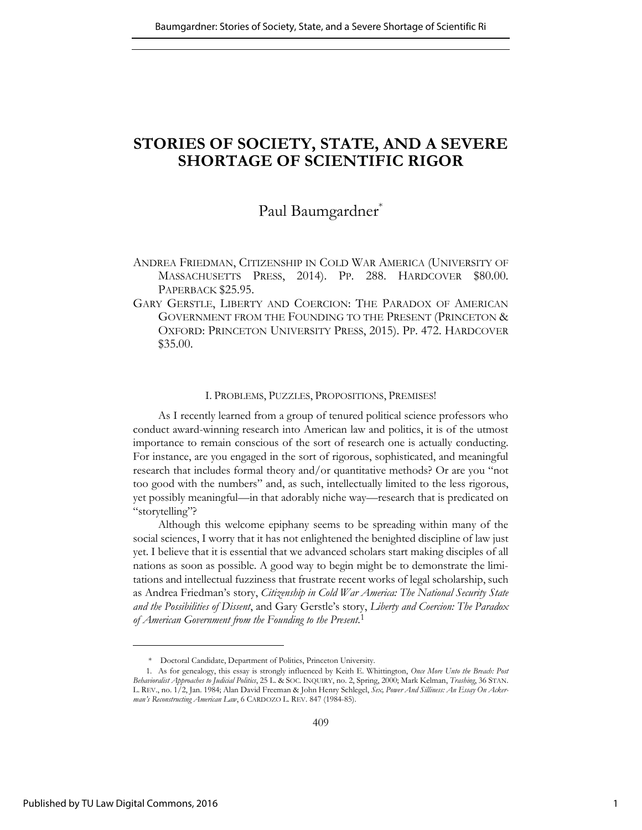## **STORIES OF SOCIETY, STATE, AND A SEVERE SHORTAGE OF SCIENTIFIC RIGOR**

## Paul Baumgardner\*

- ANDREA FRIEDMAN, CITIZENSHIP IN COLD WAR AMERICA (UNIVERSITY OF MASSACHUSETTS PRESS, 2014). PP. 288. HARDCOVER \$80.00. PAPERBACK \$25.95.
- GARY GERSTLE, LIBERTY AND COERCION: THE PARADOX OF AMERICAN GOVERNMENT FROM THE FOUNDING TO THE PRESENT (PRINCETON & OXFORD: PRINCETON UNIVERSITY PRESS, 2015). PP. 472. HARDCOVER \$35.00.

#### I. PROBLEMS, PUZZLES, PROPOSITIONS, PREMISES!

As I recently learned from a group of tenured political science professors who conduct award-winning research into American law and politics, it is of the utmost importance to remain conscious of the sort of research one is actually conducting. For instance, are you engaged in the sort of rigorous, sophisticated, and meaningful research that includes formal theory and/or quantitative methods? Or are you "not too good with the numbers" and, as such, intellectually limited to the less rigorous, yet possibly meaningful—in that adorably niche way—research that is predicated on "storytelling"?

Although this welcome epiphany seems to be spreading within many of the social sciences, I worry that it has not enlightened the benighted discipline of law just yet. I believe that it is essential that we advanced scholars start making disciples of all nations as soon as possible. A good way to begin might be to demonstrate the limitations and intellectual fuzziness that frustrate recent works of legal scholarship, such as Andrea Friedman's story, *Citizenship in Cold War America: The National Security State and the Possibilities of Dissent*, and Gary Gerstle's story, *Liberty and Coercion: The Paradox of American Government from the Founding to the Present*. 1

 <sup>\*</sup> Doctoral Candidate, Department of Politics, Princeton University.

<sup>1.</sup> As for genealogy, this essay is strongly influenced by Keith E. Whittington, *Once More Unto the Breach: Post Behavioralist Approaches to Judicial Politics*, 25 L. & SOC. INQUIRY, no. 2, Spring, 2000; Mark Kelman, *Trashing*, 36 STAN. L. REV., no. 1/2, Jan. 1984; Alan David Freeman & John Henry Schlegel, *Sex, Power And Silliness: An Essay On Ackerman's Reconstructing American Law*, 6 CARDOZO L. REV. 847 (1984-85).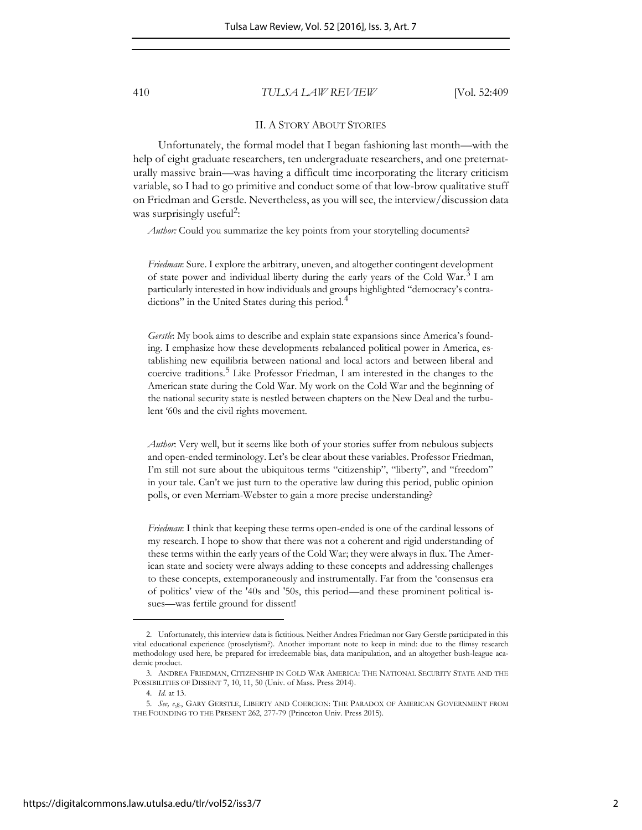410 *TULSA LAW REVIEW* [Vol. 52:409

#### II. A STORY ABOUT STORIES

Unfortunately, the formal model that I began fashioning last month—with the help of eight graduate researchers, ten undergraduate researchers, and one preternaturally massive brain—was having a difficult time incorporating the literary criticism variable, so I had to go primitive and conduct some of that low-brow qualitative stuff on Friedman and Gerstle. Nevertheless, as you will see, the interview/discussion data was surprisingly useful<sup>2</sup>:

*Author:* Could you summarize the key points from your storytelling documents?

*Friedman*: Sure. I explore the arbitrary, uneven, and altogether contingent development of state power and individual liberty during the early years of the Cold War.<sup>3</sup> I am particularly interested in how individuals and groups highlighted "democracy's contradictions" in the United States during this period.<sup>4</sup>

*Gerstle*: My book aims to describe and explain state expansions since America's founding. I emphasize how these developments rebalanced political power in America, establishing new equilibria between national and local actors and between liberal and coercive traditions.<sup>5</sup> Like Professor Friedman, I am interested in the changes to the American state during the Cold War. My work on the Cold War and the beginning of the national security state is nestled between chapters on the New Deal and the turbulent '60s and the civil rights movement.

*Author*: Very well, but it seems like both of your stories suffer from nebulous subjects and open-ended terminology. Let's be clear about these variables. Professor Friedman, I'm still not sure about the ubiquitous terms "citizenship", "liberty", and "freedom" in your tale. Can't we just turn to the operative law during this period, public opinion polls, or even Merriam-Webster to gain a more precise understanding?

*Friedman*: I think that keeping these terms open-ended is one of the cardinal lessons of my research. I hope to show that there was not a coherent and rigid understanding of these terms within the early years of the Cold War; they were always in flux. The American state and society were always adding to these concepts and addressing challenges to these concepts, extemporaneously and instrumentally. Far from the 'consensus era of politics' view of the '40s and '50s, this period—and these prominent political issues—was fertile ground for dissent!

<sup>2.</sup> Unfortunately, this interview data is fictitious. Neither Andrea Friedman nor Gary Gerstle participated in this vital educational experience (proselytism?). Another important note to keep in mind: due to the flimsy research methodology used here, be prepared for irredeemable bias, data manipulation, and an altogether bush-league academic product.

<sup>3.</sup> ANDREA FRIEDMAN, CITIZENSHIP IN COLD WAR AMERICA: THE NATIONAL SECURITY STATE AND THE POSSIBILITIES OF DISSENT 7, 10, 11, 50 (Univ. of Mass. Press 2014).

<sup>4.</sup> *Id.* at 13.

<sup>5.</sup> *See, e.g.*, GARY GERSTLE, LIBERTY AND COERCION: THE PARADOX OF AMERICAN GOVERNMENT FROM THE FOUNDING TO THE PRESENT 262, 277-79 (Princeton Univ. Press 2015).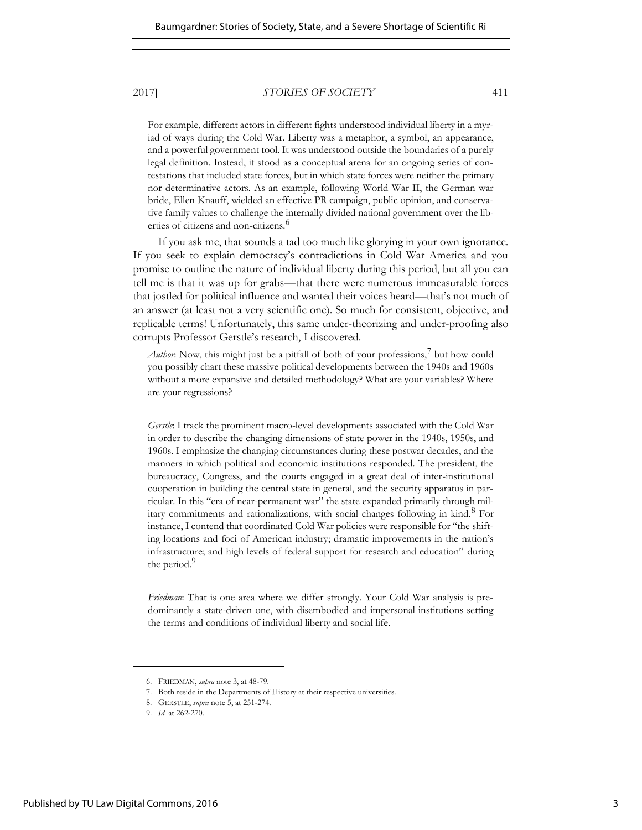#### 2017] *STORIES OF SOCIETY* 411

For example, different actors in different fights understood individual liberty in a myriad of ways during the Cold War. Liberty was a metaphor, a symbol, an appearance, and a powerful government tool. It was understood outside the boundaries of a purely legal definition. Instead, it stood as a conceptual arena for an ongoing series of contestations that included state forces, but in which state forces were neither the primary nor determinative actors. As an example, following World War II, the German war bride, Ellen Knauff, wielded an effective PR campaign, public opinion, and conservative family values to challenge the internally divided national government over the liberties of citizens and non-citizens.<sup>6</sup>

If you ask me, that sounds a tad too much like glorying in your own ignorance. If you seek to explain democracy's contradictions in Cold War America and you promise to outline the nature of individual liberty during this period, but all you can tell me is that it was up for grabs—that there were numerous immeasurable forces that jostled for political influence and wanted their voices heard—that's not much of an answer (at least not a very scientific one). So much for consistent, objective, and replicable terms! Unfortunately, this same under-theorizing and under-proofing also corrupts Professor Gerstle's research, I discovered.

Author: Now, this might just be a pitfall of both of your professions,<sup>7</sup> but how could you possibly chart these massive political developments between the 1940s and 1960s without a more expansive and detailed methodology? What are your variables? Where are your regressions?

*Gerstle*: I track the prominent macro-level developments associated with the Cold War in order to describe the changing dimensions of state power in the 1940s, 1950s, and 1960s. I emphasize the changing circumstances during these postwar decades, and the manners in which political and economic institutions responded. The president, the bureaucracy, Congress, and the courts engaged in a great deal of inter-institutional cooperation in building the central state in general, and the security apparatus in particular. In this "era of near-permanent war" the state expanded primarily through military commitments and rationalizations, with social changes following in kind.<sup>8</sup> For instance, I contend that coordinated Cold War policies were responsible for "the shifting locations and foci of American industry; dramatic improvements in the nation's infrastructure; and high levels of federal support for research and education" during the period.<sup>9</sup>

*Friedman*: That is one area where we differ strongly. Your Cold War analysis is predominantly a state-driven one, with disembodied and impersonal institutions setting the terms and conditions of individual liberty and social life.

<sup>6.</sup> FRIEDMAN, *supra* note 3, at 48-79.

<sup>7.</sup> Both reside in the Departments of History at their respective universities.

<sup>8.</sup> GERSTLE, *supra* note 5, at 251-274.

<sup>9.</sup> *Id.* at 262-270.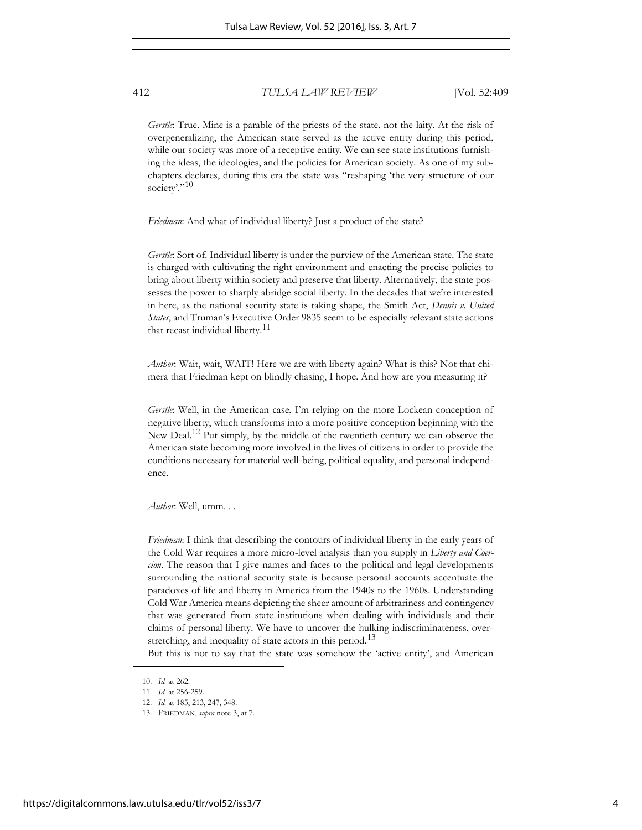### 412 *TULSA LAW REVIEW* [Vol. 52:409

*Gerstle*: True. Mine is a parable of the priests of the state, not the laity. At the risk of overgeneralizing, the American state served as the active entity during this period, while our society was more of a receptive entity. We can see state institutions furnishing the ideas, the ideologies, and the policies for American society. As one of my subchapters declares, during this era the state was "reshaping 'the very structure of our society'."<sup>10</sup>

*Friedman*: And what of individual liberty? Just a product of the state?

*Gerstle*: Sort of. Individual liberty is under the purview of the American state. The state is charged with cultivating the right environment and enacting the precise policies to bring about liberty within society and preserve that liberty. Alternatively, the state possesses the power to sharply abridge social liberty. In the decades that we're interested in here, as the national security state is taking shape, the Smith Act, *Dennis v. United States*, and Truman's Executive Order 9835 seem to be especially relevant state actions that recast individual liberty.<sup>11</sup>

*Author*: Wait, wait, WAIT! Here we are with liberty again? What is this? Not that chimera that Friedman kept on blindly chasing, I hope. And how are you measuring it?

*Gerstle*: Well, in the American case, I'm relying on the more Lockean conception of negative liberty, which transforms into a more positive conception beginning with the New Deal.<sup>12</sup> Put simply, by the middle of the twentieth century we can observe the American state becoming more involved in the lives of citizens in order to provide the conditions necessary for material well-being, political equality, and personal independence.

*Author*: Well, umm. . .

*Friedman*: I think that describing the contours of individual liberty in the early years of the Cold War requires a more micro-level analysis than you supply in *Liberty and Coercion*. The reason that I give names and faces to the political and legal developments surrounding the national security state is because personal accounts accentuate the paradoxes of life and liberty in America from the 1940s to the 1960s. Understanding Cold War America means depicting the sheer amount of arbitrariness and contingency that was generated from state institutions when dealing with individuals and their claims of personal liberty. We have to uncover the hulking indiscriminateness, overstretching, and inequality of state actors in this period.<sup>13</sup>

But this is not to say that the state was somehow the 'active entity', and American

<sup>10.</sup> *Id.* at 262.

<sup>11.</sup> *Id.* at 256-259.

<sup>12.</sup> *Id.* at 185, 213, 247, 348.

<sup>13.</sup> FRIEDMAN, *supra* note 3, at 7.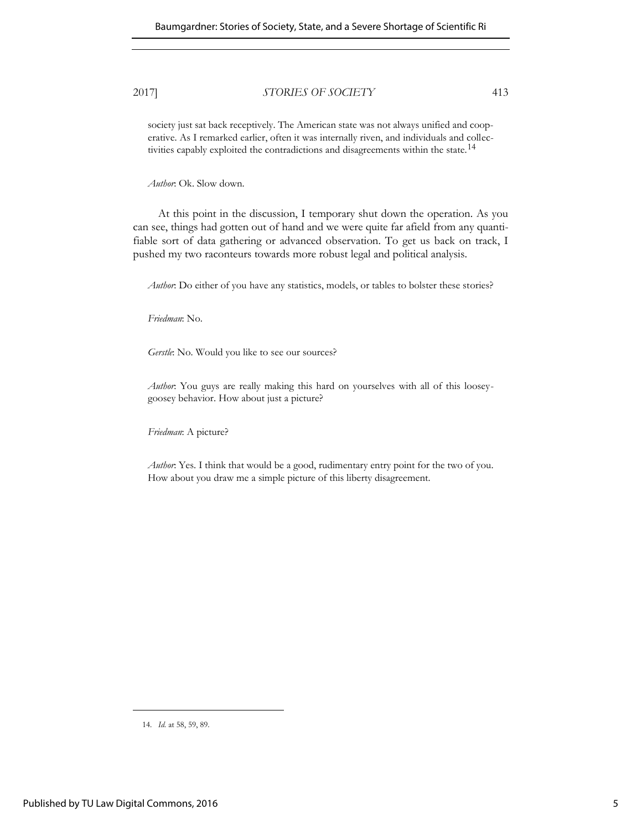## 2017] *STORIES OF SOCIETY* 413

society just sat back receptively. The American state was not always unified and cooperative. As I remarked earlier, often it was internally riven, and individuals and collectivities capably exploited the contradictions and disagreements within the state.<sup>14</sup>

*Author*: Ok. Slow down.

At this point in the discussion, I temporary shut down the operation. As you can see, things had gotten out of hand and we were quite far afield from any quantifiable sort of data gathering or advanced observation. To get us back on track, I pushed my two raconteurs towards more robust legal and political analysis.

*Author*: Do either of you have any statistics, models, or tables to bolster these stories?

*Friedman*: No.

*Gerstle*: No. Would you like to see our sources?

*Author*: You guys are really making this hard on yourselves with all of this looseygoosey behavior. How about just a picture?

*Friedman*: A picture?

*Author*: Yes. I think that would be a good, rudimentary entry point for the two of you. How about you draw me a simple picture of this liberty disagreement.

<sup>14.</sup> *Id.* at 58, 59, 89.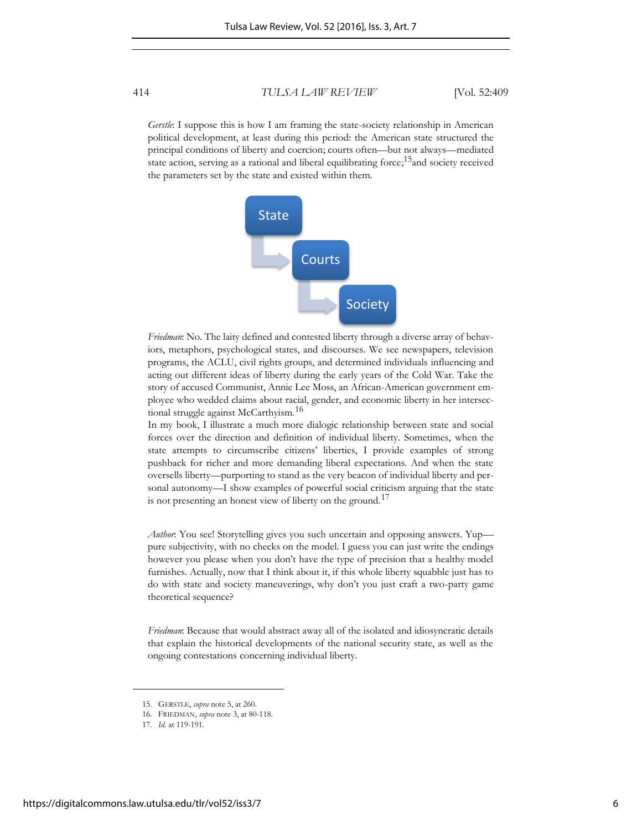414 *TULSA LAW REVIEW* [Vol. 52:409

*Gerstle*: I suppose this is how I am framing the state-society relationship in American political development, at least during this period: the American state structured the principal conditions of liberty and coercion; courts often—but not always—mediated state action, serving as a rational and liberal equilibrating force;<sup>15</sup> and society received the parameters set by the state and existed within them.



*Friedman*: No. The laity defined and contested liberty through a diverse array of behaviors, metaphors, psychological states, and discourses. We see newspapers, television programs, the ACLU, civil rights groups, and determined individuals influencing and acting out different ideas of liberty during the early years of the Cold War. Take the story of accused Communist, Annie Lee Moss, an African-American government employee who wedded claims about racial, gender, and economic liberty in her intersectional struggle against McCarthyism.<sup>16</sup>

In my book, I illustrate a much more dialogic relationship between state and social forces over the direction and definition of individual liberty. Sometimes, when the state attempts to circumscribe citizens' liberties, I provide examples of strong pushback for richer and more demanding liberal expectations. And when the state oversells liberty—purporting to stand as the very beacon of individual liberty and personal autonomy—I show examples of powerful social criticism arguing that the state is not presenting an honest view of liberty on the ground.<sup>17</sup>

*Author*: You see! Storytelling gives you such uncertain and opposing answers. Yup pure subjectivity, with no checks on the model. I guess you can just write the endings however you please when you don't have the type of precision that a healthy model furnishes. Actually, now that I think about it, if this whole liberty squabble just has to do with state and society maneuverings, why don't you just craft a two-party game theoretical sequence?

*Friedman*: Because that would abstract away all of the isolated and idiosyncratic details that explain the historical developments of the national security state, as well as the ongoing contestations concerning individual liberty.

<sup>15.</sup> GERSTLE, *supra* note 5, at 260.

<sup>16.</sup> FRIEDMAN, *supra* note 3, at 80-118.

<sup>17.</sup> *Id.* at 119-191.